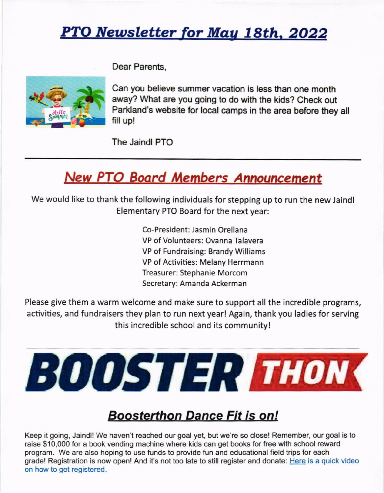# PTO Newsletter for May 18th, 2022

Dear Parents,



Can you believe summer vacation is less than one month away? What are you going to do with the kids? Check out Parkland's website for local camps in the area before they all fill up!

The Jaindl PTO

# **New PTO Board Members Announcement**

We would like to thank the following individuals for stepping up to run the new Jaindl Elementary PTO Board for the next year:

> Co-President: Jasmin Orellana VP of Volunteers: Ovanna Talavera VP of Fundraising: Brandy Williams VP of Activities: Melany Herrmann Treasurer: Stephanie Morcom Secretary: Amanda Ackerman

Please give them a warm welcome and make sure to support all the incredible programs, activities, and fundraisers they plan to run next year! Again, thank you ladies for serving this incredible school and its community!



## Boosterthon Dance Fit is on!

Keep it going, Jaindl! We haven't reached our goal yet, but we're so close! Remember, our goal is to raise \$10,000 for a book vending machine where kids can get books for free with school reward program. We are also hoping to use funds to provide fun and educational field trips for each grade! Registration is now open! And it's not too late to still register and donate: Here is a quick video on how to get registered.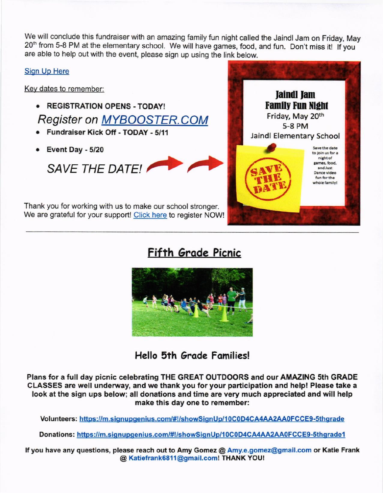we will conclude this fundraiser with an amazing family fun night called the Jaindl Jam on Friday, May 20<sup>th</sup> from 5-8 PM at the elementary school. We will have games, food, and fun. Don't miss it! If you are able to help out with the event, please sign up using the link below.

#### Sign Up Here

Key dates to remember:

- **REGISTRATION OPENS TODAY!** Register on MYBOOSTER.COM
- . Fundraiser Kick Off TODAY 5/11
- Event Day 5/20

SAVE THE DATEL

Thank you for working with us to make our school stronger. We are grateful for your support! Click here to register NOW!



## Fifth Grade Picnic



Hello 5th Grade Families!

Plans for a full day picnic celebrating THE GREAT OUTOOORS and our AMAZING 5th GRADE CLASSES are well undenvay, and we thank you for your participation and help! Please take a look at the sign ups below; all donations and time are very much appreciated and will help make this day one to remember:

Volunteers: https://m.signupgenius.com/#!/showSignUp/10C0D4CA4AA2AA0FCCE9-5thgrade

Donations: https://m.signupgenius.com/#!/showSignUp/10C0D4CA4AA2AA0FCCE9-5thgrade1

lf you have any questions, please reach out to Amy Gomez @ Amy.e.gomez@gmail.com or Katie Frank @ Katiefrank6811@gmail.com! THANK YOU!